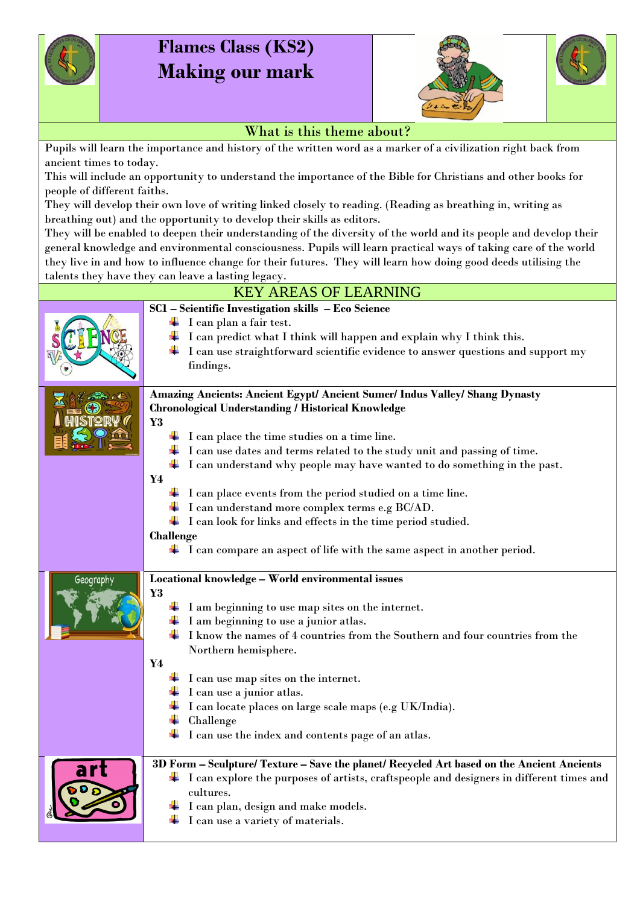

## **Flames Class (KS2) Making our mark**



## What is this theme about?

Pupils will learn the importance and history of the written word as a marker of a civilization right back from ancient times to today.

This will include an opportunity to understand the importance of the Bible for Christians and other books for people of different faiths.

They will develop their own love of writing linked closely to reading. (Reading as breathing in, writing as breathing out) and the opportunity to develop their skills as editors.

They will be enabled to deepen their understanding of the diversity of the world and its people and develop their general knowledge and environmental consciousness. Pupils will learn practical ways of taking care of the world they live in and how to influence change for their futures. They will learn how doing good deeds utilising the talents they have they can leave a lasting legacy.

| <b>KEY AREAS OF LEARNING</b> |                                                                                                                                                                                                                                                                                                                                                                                                                                                                                                                                                                                                                                                                                                                            |  |
|------------------------------|----------------------------------------------------------------------------------------------------------------------------------------------------------------------------------------------------------------------------------------------------------------------------------------------------------------------------------------------------------------------------------------------------------------------------------------------------------------------------------------------------------------------------------------------------------------------------------------------------------------------------------------------------------------------------------------------------------------------------|--|
|                              | SC1 - Scientific Investigation skills - Eco Science<br>$\perp$ I can plan a fair test.<br>I can predict what I think will happen and explain why I think this.<br>I can use straightforward scientific evidence to answer questions and support my<br>findings.                                                                                                                                                                                                                                                                                                                                                                                                                                                            |  |
|                              | Amazing Ancients: Ancient Egypt/ Ancient Sumer/ Indus Valley/ Shang Dynasty<br><b>Chronological Understanding / Historical Knowledge</b><br>Y3<br>$\perp$ I can place the time studies on a time line.<br>$\perp$ I can use dates and terms related to the study unit and passing of time.<br>$\perp$ I can understand why people may have wanted to do something in the past.<br>Y4<br>$\perp$ I can place events from the period studied on a time line.<br>$\textcolor{red}{\blacktriangleleft}$ I can understand more complex terms e.g BC/AD.<br>$\perp$ I can look for links and effects in the time period studied.<br>Challenge<br>$\perp$ I can compare an aspect of life with the same aspect in another period. |  |
| Geography                    | Locational knowledge - World environmental issues<br>Y3<br>I am beginning to use map sites on the internet.<br>I am beginning to use a junior atlas.<br>I know the names of 4 countries from the Southern and four countries from the<br>Northern hemisphere.<br>Y4<br>$\perp$ I can use map sites on the internet.<br>I can use a junior atlas.<br>I can locate places on large scale maps (e.g UK/India).<br>Challenge<br>I can use the index and contents page of an atlas.                                                                                                                                                                                                                                             |  |
|                              | 3D Form - Sculpture/ Texture - Save the planet/ Recycled Art based on the Ancient Ancients<br>$\perp$ I can explore the purposes of artists, craftspeople and designers in different times and<br>cultures.<br>I can plan, design and make models.<br>I can use a variety of materials.                                                                                                                                                                                                                                                                                                                                                                                                                                    |  |